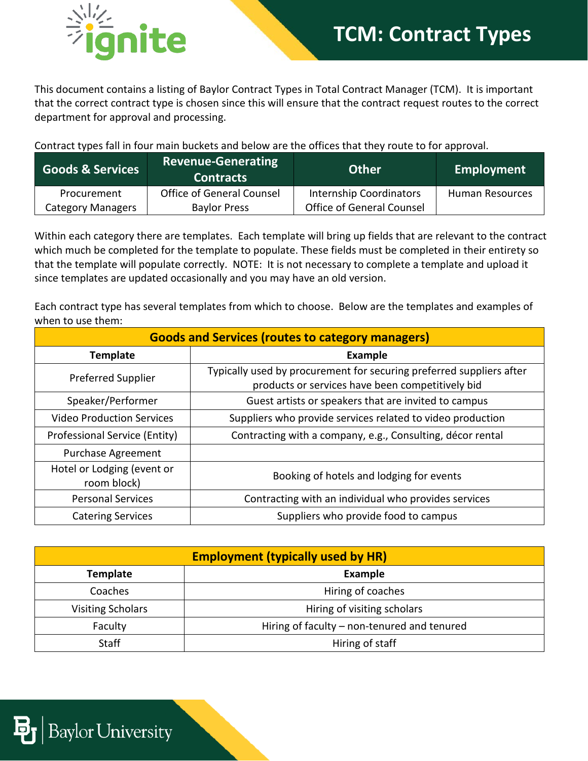

## **TCM: Contract Types**

This document contains a listing of Baylor Contract Types in Total Contract Manager (TCM). It is important that the correct contract type is chosen since this will ensure that the contract request routes to the correct department for approval and processing.

Contract types fall in four main buckets and below are the offices that they route to for approval.

| <b>Goods &amp; Services</b> | <b>Revenue-Generating</b><br><b>Contracts</b> | <b>Other</b>                   | Employment      |
|-----------------------------|-----------------------------------------------|--------------------------------|-----------------|
| Procurement                 | Office of General Counsel                     | <b>Internship Coordinators</b> | Human Resources |
| <b>Category Managers</b>    | <b>Baylor Press</b>                           | Office of General Counsel      |                 |

Within each category there are templates. Each template will bring up fields that are relevant to the contract which much be completed for the template to populate. These fields must be completed in their entirety so that the template will populate correctly. NOTE: It is not necessary to complete a template and upload it since templates are updated occasionally and you may have an old version.

Each contract type has several templates from which to choose. Below are the templates and examples of when to use them:

| <b>Goods and Services (routes to category managers)</b> |                                                                                                                          |  |  |
|---------------------------------------------------------|--------------------------------------------------------------------------------------------------------------------------|--|--|
| <b>Template</b>                                         | Example                                                                                                                  |  |  |
| <b>Preferred Supplier</b>                               | Typically used by procurement for securing preferred suppliers after<br>products or services have been competitively bid |  |  |
| Speaker/Performer                                       | Guest artists or speakers that are invited to campus                                                                     |  |  |
| <b>Video Production Services</b>                        | Suppliers who provide services related to video production                                                               |  |  |
| Professional Service (Entity)                           | Contracting with a company, e.g., Consulting, décor rental                                                               |  |  |
| <b>Purchase Agreement</b>                               |                                                                                                                          |  |  |
| Hotel or Lodging (event or<br>room block)               | Booking of hotels and lodging for events                                                                                 |  |  |
| <b>Personal Services</b>                                | Contracting with an individual who provides services                                                                     |  |  |
| <b>Catering Services</b>                                | Suppliers who provide food to campus                                                                                     |  |  |

| <b>Employment (typically used by HR)</b> |                                             |  |
|------------------------------------------|---------------------------------------------|--|
| <b>Template</b>                          | <b>Example</b>                              |  |
| Coaches                                  | Hiring of coaches                           |  |
| <b>Visiting Scholars</b>                 | Hiring of visiting scholars                 |  |
| Faculty                                  | Hiring of faculty – non-tenured and tenured |  |
| <b>Staff</b>                             | Hiring of staff                             |  |